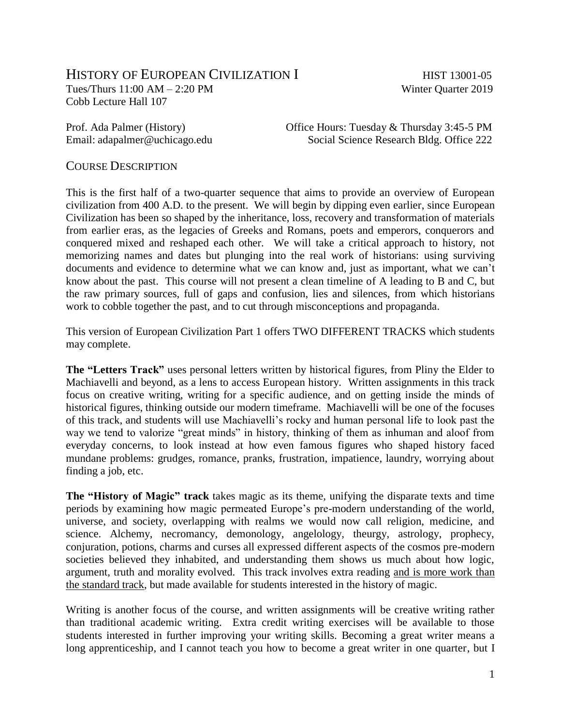# HISTORY OF EUROPEAN CIVILIZATION I HIST 13001-05 Tues/Thurs 11:00 AM – 2:20 PM Winter Quarter 2019

Cobb Lecture Hall 107

Prof. Ada Palmer (History) Office Hours: Tuesday & Thursday 3:45-5 PM Email: adapalmer@uchicago.edu Social Science Research Bldg. Office 222

### COURSE DESCRIPTION

This is the first half of a two-quarter sequence that aims to provide an overview of European civilization from 400 A.D. to the present. We will begin by dipping even earlier, since European Civilization has been so shaped by the inheritance, loss, recovery and transformation of materials from earlier eras, as the legacies of Greeks and Romans, poets and emperors, conquerors and conquered mixed and reshaped each other. We will take a critical approach to history, not memorizing names and dates but plunging into the real work of historians: using surviving documents and evidence to determine what we can know and, just as important, what we can't know about the past. This course will not present a clean timeline of A leading to B and C, but the raw primary sources, full of gaps and confusion, lies and silences, from which historians work to cobble together the past, and to cut through misconceptions and propaganda.

This version of European Civilization Part 1 offers TWO DIFFERENT TRACKS which students may complete.

**The "Letters Track"** uses personal letters written by historical figures, from Pliny the Elder to Machiavelli and beyond, as a lens to access European history. Written assignments in this track focus on creative writing, writing for a specific audience, and on getting inside the minds of historical figures, thinking outside our modern timeframe. Machiavelli will be one of the focuses of this track, and students will use Machiavelli's rocky and human personal life to look past the way we tend to valorize "great minds" in history, thinking of them as inhuman and aloof from everyday concerns, to look instead at how even famous figures who shaped history faced mundane problems: grudges, romance, pranks, frustration, impatience, laundry, worrying about finding a job, etc.

**The "History of Magic" track** takes magic as its theme, unifying the disparate texts and time periods by examining how magic permeated Europe's pre-modern understanding of the world, universe, and society, overlapping with realms we would now call religion, medicine, and science. Alchemy, necromancy, demonology, angelology, theurgy, astrology, prophecy, conjuration, potions, charms and curses all expressed different aspects of the cosmos pre-modern societies believed they inhabited, and understanding them shows us much about how logic, argument, truth and morality evolved. This track involves extra reading and is more work than the standard track, but made available for students interested in the history of magic.

Writing is another focus of the course, and written assignments will be creative writing rather than traditional academic writing. Extra credit writing exercises will be available to those students interested in further improving your writing skills. Becoming a great writer means a long apprenticeship, and I cannot teach you how to become a great writer in one quarter, but I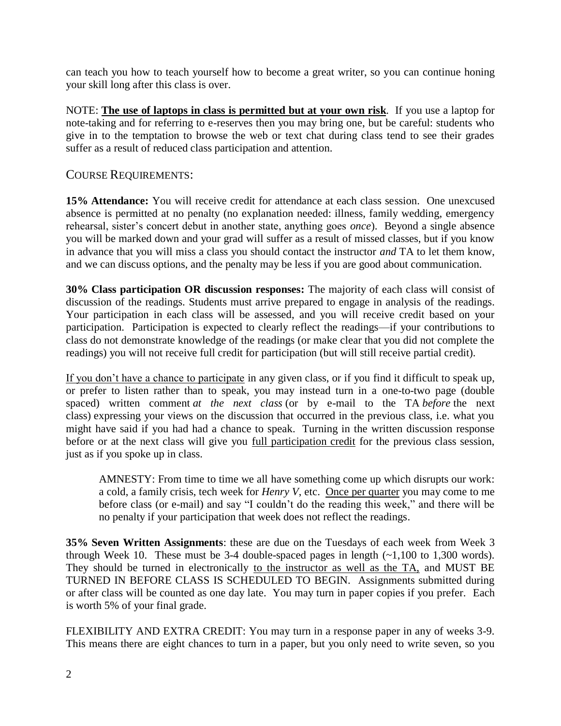can teach you how to teach yourself how to become a great writer, so you can continue honing your skill long after this class is over.

NOTE: **The use of laptops in class is permitted but at your own risk**. If you use a laptop for note-taking and for referring to e-reserves then you may bring one, but be careful: students who give in to the temptation to browse the web or text chat during class tend to see their grades suffer as a result of reduced class participation and attention.

### COURSE REQUIREMENTS:

**15% Attendance:** You will receive credit for attendance at each class session. One unexcused absence is permitted at no penalty (no explanation needed: illness, family wedding, emergency rehearsal, sister's concert debut in another state, anything goes *once*). Beyond a single absence you will be marked down and your grad will suffer as a result of missed classes, but if you know in advance that you will miss a class you should contact the instructor *and* TA to let them know, and we can discuss options, and the penalty may be less if you are good about communication.

**30% Class participation OR discussion responses:** The majority of each class will consist of discussion of the readings. Students must arrive prepared to engage in analysis of the readings. Your participation in each class will be assessed, and you will receive credit based on your participation. Participation is expected to clearly reflect the readings—if your contributions to class do not demonstrate knowledge of the readings (or make clear that you did not complete the readings) you will not receive full credit for participation (but will still receive partial credit).

If you don't have a chance to participate in any given class, or if you find it difficult to speak up, or prefer to listen rather than to speak, you may instead turn in a one-to-two page (double spaced) written comment *at the next class* (or by e-mail to the TA *before* the next class) expressing your views on the discussion that occurred in the previous class, i.e. what you might have said if you had had a chance to speak. Turning in the written discussion response before or at the next class will give you full participation credit for the previous class session, just as if you spoke up in class.

AMNESTY: From time to time we all have something come up which disrupts our work: a cold, a family crisis, tech week for *Henry V*, etc. Once per quarter you may come to me before class (or e-mail) and say "I couldn't do the reading this week," and there will be no penalty if your participation that week does not reflect the readings.

**35% Seven Written Assignments**: these are due on the Tuesdays of each week from Week 3 through Week 10. These must be 3-4 double-spaced pages in length  $(\sim 1,100$  to 1,300 words). They should be turned in electronically to the instructor as well as the TA, and MUST BE TURNED IN BEFORE CLASS IS SCHEDULED TO BEGIN. Assignments submitted during or after class will be counted as one day late. You may turn in paper copies if you prefer. Each is worth 5% of your final grade.

FLEXIBILITY AND EXTRA CREDIT: You may turn in a response paper in any of weeks 3-9. This means there are eight chances to turn in a paper, but you only need to write seven, so you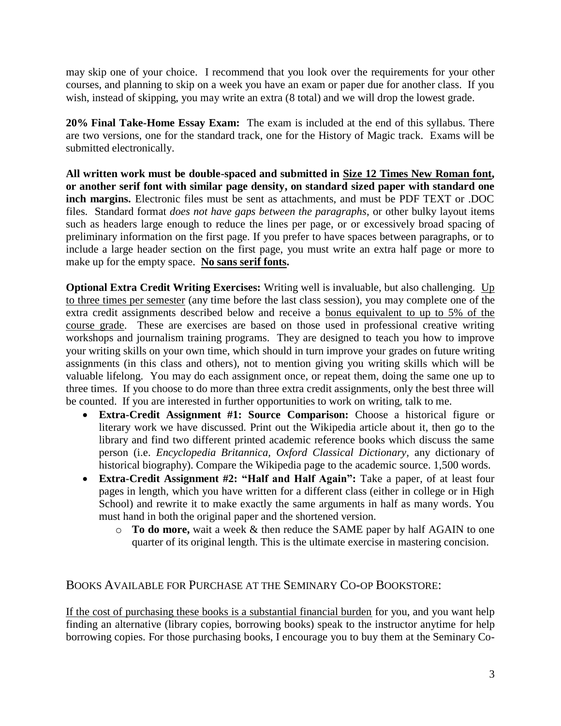may skip one of your choice. I recommend that you look over the requirements for your other courses, and planning to skip on a week you have an exam or paper due for another class. If you wish, instead of skipping, you may write an extra  $(8 \text{ total})$  and we will drop the lowest grade.

**20% Final Take-Home Essay Exam:** The exam is included at the end of this syllabus. There are two versions, one for the standard track, one for the History of Magic track. Exams will be submitted electronically.

**All written work must be double-spaced and submitted in Size 12 Times New Roman font, or another serif font with similar page density, on standard sized paper with standard one inch margins.** Electronic files must be sent as attachments, and must be PDF TEXT or .DOC files. Standard format *does not have gaps between the paragraphs*, or other bulky layout items such as headers large enough to reduce the lines per page, or or excessively broad spacing of preliminary information on the first page. If you prefer to have spaces between paragraphs, or to include a large header section on the first page, you must write an extra half page or more to make up for the empty space. **No sans serif fonts.**

**Optional Extra Credit Writing Exercises:** Writing well is invaluable, but also challenging. Up to three times per semester (any time before the last class session), you may complete one of the extra credit assignments described below and receive a bonus equivalent to up to 5% of the course grade. These are exercises are based on those used in professional creative writing workshops and journalism training programs. They are designed to teach you how to improve your writing skills on your own time, which should in turn improve your grades on future writing assignments (in this class and others), not to mention giving you writing skills which will be valuable lifelong. You may do each assignment once, or repeat them, doing the same one up to three times. If you choose to do more than three extra credit assignments, only the best three will be counted. If you are interested in further opportunities to work on writing, talk to me.

- **Extra-Credit Assignment #1: Source Comparison:** Choose a historical figure or literary work we have discussed*.* Print out the Wikipedia article about it, then go to the library and find two different printed academic reference books which discuss the same person (i.e. *Encyclopedia Britannica, Oxford Classical Dictionary,* any dictionary of historical biography). Compare the Wikipedia page to the academic source. 1,500 words.
- **Extra-Credit Assignment #2: "Half and Half Again":** Take a paper, of at least four pages in length, which you have written for a different class (either in college or in High School) and rewrite it to make exactly the same arguments in half as many words. You must hand in both the original paper and the shortened version.
	- o **To do more,** wait a week & then reduce the SAME paper by half AGAIN to one quarter of its original length. This is the ultimate exercise in mastering concision.

## BOOKS AVAILABLE FOR PURCHASE AT THE SEMINARY CO-OP BOOKSTORE:

If the cost of purchasing these books is a substantial financial burden for you, and you want help finding an alternative (library copies, borrowing books) speak to the instructor anytime for help borrowing copies. For those purchasing books, I encourage you to buy them at the Seminary Co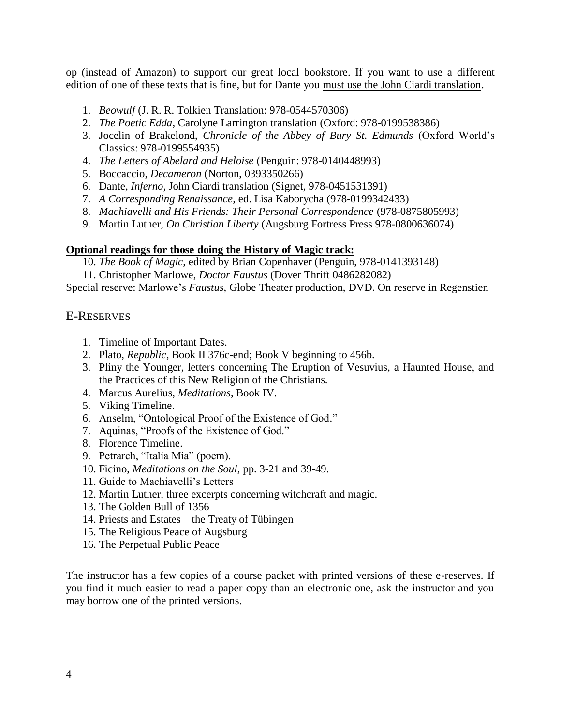op (instead of Amazon) to support our great local bookstore. If you want to use a different edition of one of these texts that is fine, but for Dante you must use the John Ciardi translation.

- 1. *Beowulf* (J. R. R. Tolkien Translation: 978-0544570306)
- 2. *The Poetic Edda*, Carolyne Larrington translation (Oxford: 978-0199538386)
- 3. Jocelin of Brakelond, *Chronicle of the Abbey of Bury St. Edmunds* (Oxford World's Classics: 978-0199554935)
- 4. *The Letters of Abelard and Heloise* (Penguin: 978-0140448993)
- 5. Boccaccio, *Decameron* (Norton, 0393350266)
- 6. Dante, *Inferno,* John Ciardi translation (Signet, 978-0451531391)
- 7. *A Corresponding Renaissance,* ed. Lisa Kaborycha (978-0199342433)
- 8. *Machiavelli and His Friends: Their Personal Correspondence* (978-0875805993)
- 9. Martin Luther, *On Christian Liberty* (Augsburg Fortress Press 978-0800636074)

### **Optional readings for those doing the History of Magic track:**

- 10. *The Book of Magic,* edited by Brian Copenhaver (Penguin, 978-0141393148)
- 11. Christopher Marlowe, *Doctor Faustus* (Dover Thrift 0486282082)

Special reserve: Marlowe's *Faustus*, Globe Theater production, DVD. On reserve in Regenstien

### E-RESERVES

- 1. Timeline of Important Dates.
- 2. Plato, *Republic*, Book II 376c-end; Book V beginning to 456b.
- 3. Pliny the Younger, letters concerning The Eruption of Vesuvius, a Haunted House, and the Practices of this New Religion of the Christians.
- 4. Marcus Aurelius, *Meditations*, Book IV.
- 5. Viking Timeline.
- 6. Anselm, "Ontological Proof of the Existence of God."
- 7. Aquinas, "Proofs of the Existence of God."
- 8. Florence Timeline.
- 9. Petrarch, "Italia Mia" (poem).
- 10. Ficino, *Meditations on the Soul,* pp. 3-21 and 39-49.
- 11. Guide to Machiavelli's Letters
- 12. Martin Luther, three excerpts concerning witchcraft and magic.
- 13. The Golden Bull of 1356
- 14. Priests and Estates the Treaty of Tübingen
- 15. The Religious Peace of Augsburg
- 16. The Perpetual Public Peace

The instructor has a few copies of a course packet with printed versions of these e-reserves. If you find it much easier to read a paper copy than an electronic one, ask the instructor and you may borrow one of the printed versions.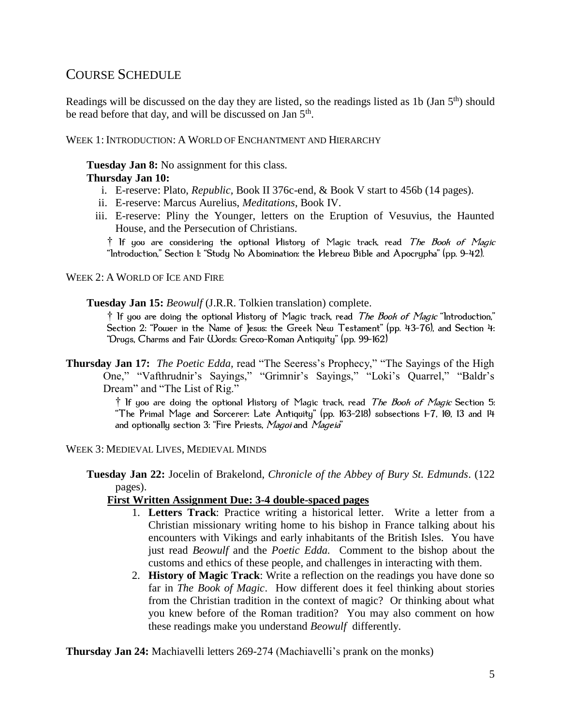# COURSE SCHEDULE

Readings will be discussed on the day they are listed, so the readings listed as 1b (Jan  $5<sup>th</sup>$ ) should be read before that day, and will be discussed on Jan 5<sup>th</sup>.

#### WEEK 1: INTRODUCTION: A WORLD OF ENCHANTMENT AND HIERARCHY

**Tuesday Jan 8:** No assignment for this class.

#### **Thursday Jan 10:**

- i. E-reserve: Plato, *Republic,* Book II 376c-end, & Book V start to 456b (14 pages).
- ii. E-reserve: Marcus Aurelius, *Meditations*, Book IV.
- iii. E-reserve: Pliny the Younger, letters on the Eruption of Vesuvius, the Haunted House, and the Persecution of Christians.

<sup>†</sup> If you are considering the optional History of Magic track, read *The Book of Magic* "Introduction," Section 1: "Study No Abomination: the Hebrew Bible and Apocrypha" (pp. 9-42).

WEEK 2: A WORLD OF ICE AND FIRE

**Tuesday Jan 15:** *Beowulf* (J.R.R. Tolkien translation) complete.

<sup>†</sup> If you are doing the optional History of Magic track, read *The Book of Magic* "Introduction," Section 2: "Power in the Name of Jesus: the Greek New Testament" (pp. 43-76), and Section 4: "Drugs, Charms and Fair Words: Greco-Roman Antiquity" (pp. 99-162)

**Thursday Jan 17:** *The Poetic Edda,* read "The Seeress's Prophecy," "The Sayings of the High One," "Vafthrudnir's Sayings," "Grimnir's Sayings," "Loki's Quarrel," "Baldr's Dream" and "The List of Rig."

> † If you are doing the optional History of Magic track, read *The Book of Magic* Section 5:<br>"The Primal Mage and Sorcerer: Late Antiquity" (pp. 163–218) subsections 1–7, 10, 13 and 14 and optionally section 3: "Fire Priests, Magoi and Mageia"

WEEK 3: MEDIEVAL LIVES, MEDIEVAL MINDS

**Tuesday Jan 22:** Jocelin of Brakelond, *Chronicle of the Abbey of Bury St. Edmunds*. (122 pages).

#### **First Written Assignment Due: 3-4 double-spaced pages**

- 1. **Letters Track**: Practice writing a historical letter. Write a letter from a Christian missionary writing home to his bishop in France talking about his encounters with Vikings and early inhabitants of the British Isles. You have just read *Beowulf* and the *Poetic Edda.* Comment to the bishop about the customs and ethics of these people, and challenges in interacting with them.
- 2. **History of Magic Track**: Write a reflection on the readings you have done so far in *The Book of Magic*. How different does it feel thinking about stories from the Christian tradition in the context of magic? Or thinking about what you knew before of the Roman tradition? You may also comment on how these readings make you understand *Beowulf* differently.

**Thursday Jan 24:** Machiavelli letters 269-274 (Machiavelli's prank on the monks)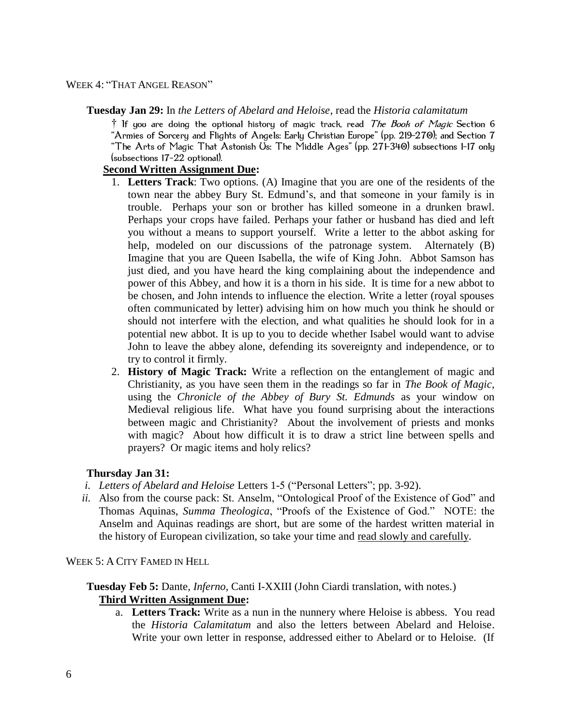#### WEEK 4: "THAT ANGEL REASON"

**Tuesday Jan 29:** In *the Letters of Abelard and Heloise*, read the *Historia calamitatum*

<sup>†</sup> If you are doing the optional history of magic track, read *The Book of Magic* Section 6 "Armies of Sorcery and Flights of Angels: Early Christian Europe" (pp. 219-270); and Section 7 "The Arts of Magic That Astonish Us: The Middle Ages" (pp. 271-340) subsections 1-17 only (subsections 17-22 optional).

#### **Second Written Assignment Due:**

- 1. **Letters Track**: Two options. (A) Imagine that you are one of the residents of the town near the abbey Bury St. Edmund's, and that someone in your family is in trouble. Perhaps your son or brother has killed someone in a drunken brawl. Perhaps your crops have failed. Perhaps your father or husband has died and left you without a means to support yourself. Write a letter to the abbot asking for help, modeled on our discussions of the patronage system. Alternately (B) Imagine that you are Queen Isabella, the wife of King John. Abbot Samson has just died, and you have heard the king complaining about the independence and power of this Abbey, and how it is a thorn in his side. It is time for a new abbot to be chosen, and John intends to influence the election. Write a letter (royal spouses often communicated by letter) advising him on how much you think he should or should not interfere with the election, and what qualities he should look for in a potential new abbot. It is up to you to decide whether Isabel would want to advise John to leave the abbey alone, defending its sovereignty and independence, or to try to control it firmly.
- 2. **History of Magic Track:** Write a reflection on the entanglement of magic and Christianity, as you have seen them in the readings so far in *The Book of Magic,* using the *Chronicle of the Abbey of Bury St. Edmunds* as your window on Medieval religious life. What have you found surprising about the interactions between magic and Christianity? About the involvement of priests and monks with magic? About how difficult it is to draw a strict line between spells and prayers? Or magic items and holy relics?

#### **Thursday Jan 31:**

- *i. Letters of Abelard and Heloise* Letters 1-5 ("Personal Letters"; pp. 3-92).
- *ii.* Also from the course pack: St. Anselm, "Ontological Proof of the Existence of God" and Thomas Aquinas, *Summa Theologica*, "Proofs of the Existence of God." NOTE: the Anselm and Aquinas readings are short, but are some of the hardest written material in the history of European civilization, so take your time and read slowly and carefully.

WEEK 5: A CITY FAMED IN HELL

**Tuesday Feb 5:** Dante, *Inferno*, Canti I-XXIII (John Ciardi translation, with notes.)  **Third Written Assignment Due:** 

a. **Letters Track:** Write as a nun in the nunnery where Heloise is abbess. You read the *Historia Calamitatum* and also the letters between Abelard and Heloise. Write your own letter in response, addressed either to Abelard or to Heloise. (If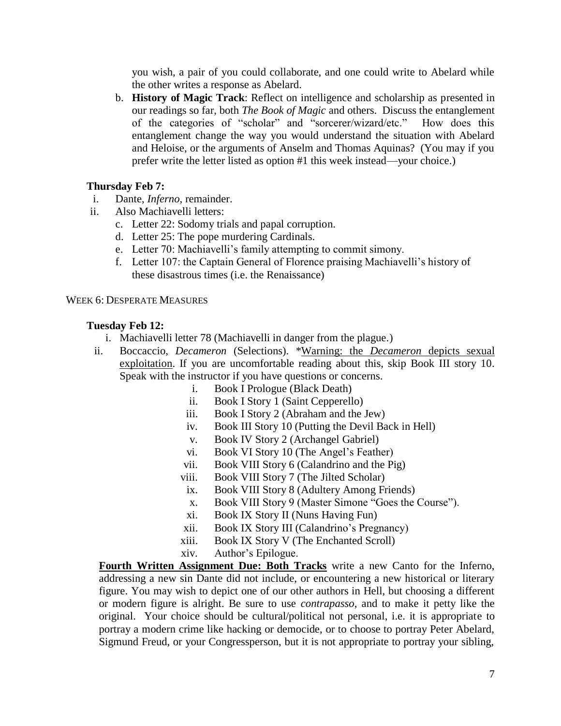you wish, a pair of you could collaborate, and one could write to Abelard while the other writes a response as Abelard.

b. **History of Magic Track**: Reflect on intelligence and scholarship as presented in our readings so far, both *The Book of Magic* and others. Discuss the entanglement of the categories of "scholar" and "sorcerer/wizard/etc." How does this entanglement change the way you would understand the situation with Abelard and Heloise, or the arguments of Anselm and Thomas Aquinas? (You may if you prefer write the letter listed as option #1 this week instead—your choice.)

### **Thursday Feb 7:**

- i. Dante, *Inferno*, remainder.
- ii. Also Machiavelli letters:
	- c. Letter 22: Sodomy trials and papal corruption.
	- d. Letter 25: The pope murdering Cardinals.
	- e. Letter 70: Machiavelli's family attempting to commit simony.
	- f. Letter 107: the Captain General of Florence praising Machiavelli's history of these disastrous times (i.e. the Renaissance)

WEEK 6: DESPERATE MEASURES

### **Tuesday Feb 12:**

- i. Machiavelli letter 78 (Machiavelli in danger from the plague.)
- ii. Boccaccio, *Decameron* (Selections). \*Warning: the *Decameron* depicts sexual exploitation. If you are uncomfortable reading about this, skip Book III story 10. Speak with the instructor if you have questions or concerns.
	- i. Book I Prologue (Black Death)
	- ii. Book I Story 1 (Saint Cepperello)
	- iii. Book I Story 2 (Abraham and the Jew)
	- iv. Book III Story 10 (Putting the Devil Back in Hell)
	- v. Book IV Story 2 (Archangel Gabriel)
	- vi. Book VI Story 10 (The Angel's Feather)
	- vii. Book VIII Story 6 (Calandrino and the Pig)
	- viii. Book VIII Story 7 (The Jilted Scholar)
	- ix. Book VIII Story 8 (Adultery Among Friends)
	- x. Book VIII Story 9 (Master Simone "Goes the Course").
	- xi. Book IX Story II (Nuns Having Fun)
	- xii. Book IX Story III (Calandrino's Pregnancy)
	- xiii. Book IX Story V (The Enchanted Scroll)
	- xiv. Author's Epilogue.

**Fourth Written Assignment Due: Both Tracks** write a new Canto for the Inferno, addressing a new sin Dante did not include, or encountering a new historical or literary figure. You may wish to depict one of our other authors in Hell, but choosing a different or modern figure is alright. Be sure to use *contrapasso*, and to make it petty like the original. Your choice should be cultural/political not personal, i.e. it is appropriate to portray a modern crime like hacking or democide, or to choose to portray Peter Abelard, Sigmund Freud, or your Congressperson, but it is not appropriate to portray your sibling,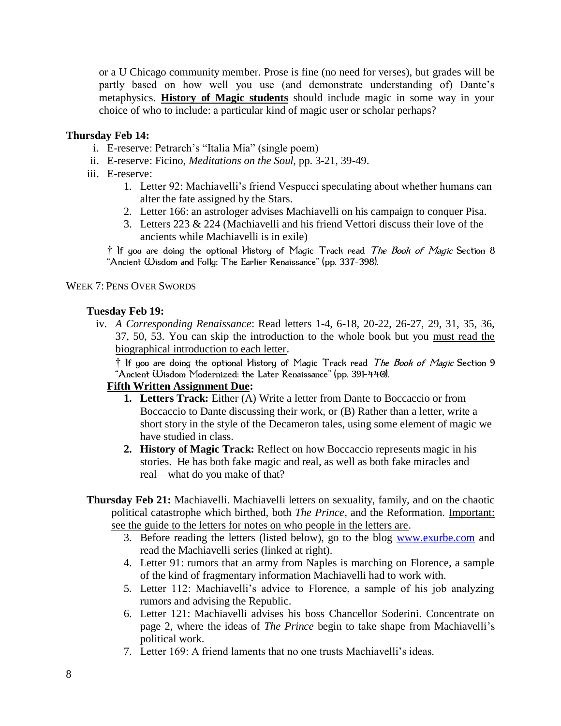or a U Chicago community member. Prose is fine (no need for verses), but grades will be partly based on how well you use (and demonstrate understanding of) Dante's metaphysics. **History of Magic students** should include magic in some way in your choice of who to include: a particular kind of magic user or scholar perhaps?

### **Thursday Feb 14:**

- i. E-reserve: Petrarch's "Italia Mia" (single poem)
- ii. E-reserve: Ficino, *Meditations on the Soul,* pp. 3-21, 39-49.
- iii. E-reserve:
	- 1. Letter 92: Machiavelli's friend Vespucci speculating about whether humans can alter the fate assigned by the Stars.
	- 2. Letter 166: an astrologer advises Machiavelli on his campaign to conquer Pisa.
	- 3. Letters 223 & 224 (Machiavelli and his friend Vettori discuss their love of the ancients while Machiavelli is in exile)

<sup>†</sup> If you are doing the optional History of Magic Track read The Book of Magic Section 8 "Ancient Wisdom and Folly: The Earlier Renaissance" (pp. 337-398).

#### WEEK 7: PENS OVER SWORDS

#### **Tuesday Feb 19:**

iv. *A Corresponding Renaissance*: Read letters 1-4, 6-18, 20-22, 26-27, 29, 31, 35, 36, 37, 50, 53. You can skip the introduction to the whole book but you must read the biographical introduction to each letter.

† If you are doing the optional History of Magic Track read *The Book of Magic* Section 9<br>"Ancient Wisdom Modernized: the Later Renaissance" (pp. 391-440).

#### **Fifth Written Assignment Due:**

- **1. Letters Track:** Either (A) Write a letter from Dante to Boccaccio or from Boccaccio to Dante discussing their work, or (B) Rather than a letter, write a short story in the style of the Decameron tales, using some element of magic we have studied in class.
- **2. History of Magic Track:** Reflect on how Boccaccio represents magic in his stories. He has both fake magic and real, as well as both fake miracles and real—what do you make of that?
- **Thursday Feb 21:** Machiavelli. Machiavelli letters on sexuality, family, and on the chaotic political catastrophe which birthed, both *The Prince*, and the Reformation. Important: see the guide to the letters for notes on who people in the letters are.
	- 3. Before reading the letters (listed below), go to the blog [www.exurbe.com](http://www.exurbe.com/) and read the Machiavelli series (linked at right).
	- 4. Letter 91: rumors that an army from Naples is marching on Florence, a sample of the kind of fragmentary information Machiavelli had to work with.
	- 5. Letter 112: Machiavelli's advice to Florence, a sample of his job analyzing rumors and advising the Republic.
	- 6. Letter 121: Machiavelli advises his boss Chancellor Soderini. Concentrate on page 2, where the ideas of *The Prince* begin to take shape from Machiavelli's political work.
	- 7. Letter 169: A friend laments that no one trusts Machiavelli's ideas.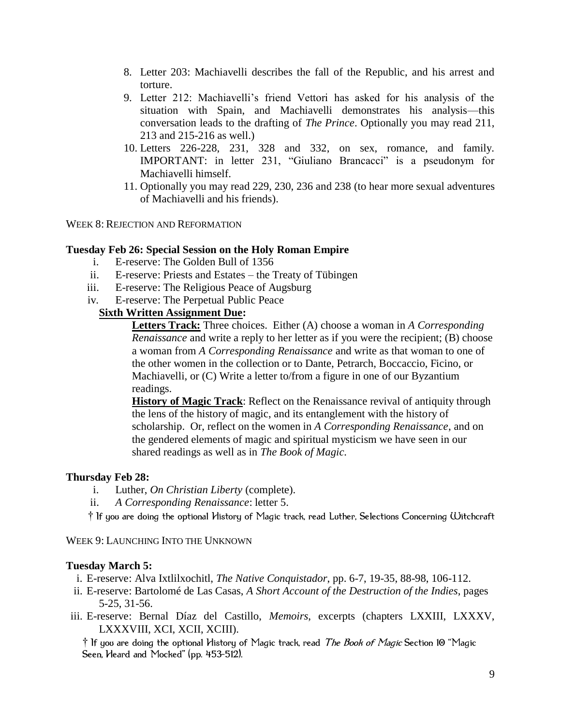- 8. Letter 203: Machiavelli describes the fall of the Republic, and his arrest and torture.
- 9. Letter 212: Machiavelli's friend Vettori has asked for his analysis of the situation with Spain, and Machiavelli demonstrates his analysis—this conversation leads to the drafting of *The Prince*. Optionally you may read 211, 213 and 215-216 as well.)
- 10. Letters 226-228, 231, 328 and 332, on sex, romance, and family. IMPORTANT: in letter 231, "Giuliano Brancacci" is a pseudonym for Machiavelli himself.
- 11. Optionally you may read 229, 230, 236 and 238 (to hear more sexual adventures of Machiavelli and his friends).

WEEK 8: REJECTION AND REFORMATION

#### **Tuesday Feb 26: Special Session on the Holy Roman Empire**

- i. E-reserve: The Golden Bull of 1356
- ii. E-reserve: Priests and Estates the Treaty of Tübingen
- iii. E-reserve: The Religious Peace of Augsburg
- iv. E-reserve: The Perpetual Public Peace

### **Sixth Written Assignment Due:**

**Letters Track:** Three choices. Either (A) choose a woman in *A Corresponding Renaissance* and write a reply to her letter as if you were the recipient; (B) choose a woman from *A Corresponding Renaissance* and write as that woman to one of the other women in the collection or to Dante, Petrarch, Boccaccio, Ficino, or Machiavelli, or (C) Write a letter to/from a figure in one of our Byzantium readings.

**History of Magic Track**: Reflect on the Renaissance revival of antiquity through the lens of the history of magic, and its entanglement with the history of scholarship. Or, reflect on the women in *A Corresponding Renaissance*, and on the gendered elements of magic and spiritual mysticism we have seen in our shared readings as well as in *The Book of Magic.*

#### **Thursday Feb 28:**

- i. Luther, *On Christian Liberty* (complete).
- ii. *A Corresponding Renaissance*: letter 5.

<sup>†</sup> If you are doing the optional History of Magic track, read Luther, Selections Concerning Witchcraft

WEEK 9: LAUNCHING INTO THE UNKNOWN

#### **Tuesday March 5:**

- i. E-reserve: Alva Ixtlilxochitl, *The Native Conquistador*, pp. 6-7, 19-35, 88-98, 106-112.
- ii. E-reserve: Bartolomé de Las Casas, *A Short Account of the Destruction of the Indies*, pages 5-25, 31-56.
- iii. E-reserve: Bernal Díaz del Castillo, *Memoirs*, excerpts (chapters LXXIII, LXXXV, LXXXVIII, XCI, XCII, XCIII).

<sup>†</sup> If you are doing the optional History of Magic track, read *The Book of Magic* Section 10 "Magic Seen, Heard and Mocked" (pp. 453-512).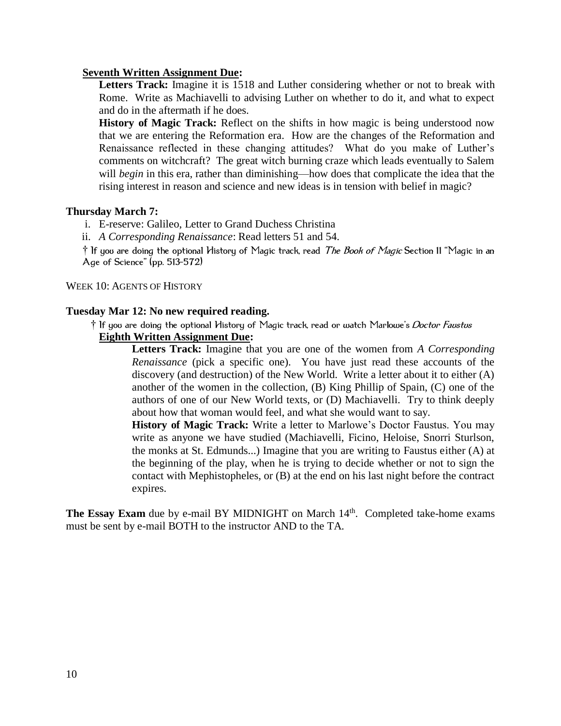#### **Seventh Written Assignment Due:**

**Letters Track:** Imagine it is 1518 and Luther considering whether or not to break with Rome. Write as Machiavelli to advising Luther on whether to do it, and what to expect and do in the aftermath if he does.

**History of Magic Track:** Reflect on the shifts in how magic is being understood now that we are entering the Reformation era. How are the changes of the Reformation and Renaissance reflected in these changing attitudes? What do you make of Luther's comments on witchcraft? The great witch burning craze which leads eventually to Salem will *begin* in this era, rather than diminishing—how does that complicate the idea that the rising interest in reason and science and new ideas is in tension with belief in magic?

#### **Thursday March 7:**

i. E-reserve: Galileo, Letter to Grand Duchess Christina

ii. *A Corresponding Renaissance*: Read letters 51 and 54.

<sup>†</sup> If you are doing the optional History of Magic track, read *The Book of Magic* Section 11 "Magic in an Age of Science" (pp. 513-572)

WEEK 10: AGENTS OF HISTORY

#### **Tuesday Mar 12: No new required reading.**

<sup>†</sup> If you are doing the optional History of Magic track, read or watch Marlowe's *Doctor Faustus* 

## **Eighth Written Assignment Due:**

**Letters Track:** Imagine that you are one of the women from *A Corresponding Renaissance* (pick a specific one). You have just read these accounts of the discovery (and destruction) of the New World. Write a letter about it to either (A) another of the women in the collection, (B) King Phillip of Spain, (C) one of the authors of one of our New World texts, or (D) Machiavelli. Try to think deeply about how that woman would feel, and what she would want to say.

**History of Magic Track:** Write a letter to Marlowe's Doctor Faustus. You may write as anyone we have studied (Machiavelli, Ficino, Heloise, Snorri Sturlson, the monks at St. Edmunds...) Imagine that you are writing to Faustus either (A) at the beginning of the play, when he is trying to decide whether or not to sign the contact with Mephistopheles, or (B) at the end on his last night before the contract expires.

**The Essay Exam** due by e-mail BY MIDNIGHT on March 14<sup>th</sup>. Completed take-home exams must be sent by e-mail BOTH to the instructor AND to the TA.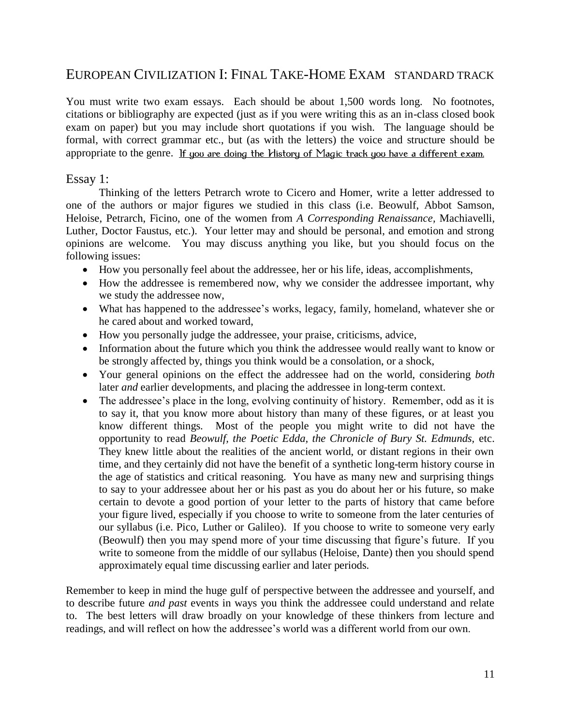# EUROPEAN CIVILIZATION I: FINAL TAKE-HOME EXAM STANDARD TRACK

You must write two exam essays. Each should be about 1,500 words long. No footnotes, citations or bibliography are expected (just as if you were writing this as an in-class closed book exam on paper) but you may include short quotations if you wish. The language should be formal, with correct grammar etc., but (as with the letters) the voice and structure should be appropriate to the genre. If you are doing the History of Magic track you have a different exam.

### Essay 1:

Thinking of the letters Petrarch wrote to Cicero and Homer, write a letter addressed to one of the authors or major figures we studied in this class (i.e. Beowulf, Abbot Samson, Heloise, Petrarch, Ficino, one of the women from *A Corresponding Renaissance,* Machiavelli, Luther, Doctor Faustus, etc.). Your letter may and should be personal, and emotion and strong opinions are welcome. You may discuss anything you like, but you should focus on the following issues:

- How you personally feel about the addressee, her or his life, ideas, accomplishments,
- How the addressee is remembered now, why we consider the addressee important, why we study the addressee now,
- What has happened to the addressee's works, legacy, family, homeland, whatever she or he cared about and worked toward,
- How you personally judge the addressee, your praise, criticisms, advice,
- Information about the future which you think the addressee would really want to know or be strongly affected by, things you think would be a consolation, or a shock,
- Your general opinions on the effect the addressee had on the world, considering *both* later *and* earlier developments, and placing the addressee in long-term context.
- The addressee's place in the long, evolving continuity of history. Remember, odd as it is to say it, that you know more about history than many of these figures, or at least you know different things. Most of the people you might write to did not have the opportunity to read *Beowulf, the Poetic Edda, the Chronicle of Bury St. Edmunds,* etc. They knew little about the realities of the ancient world, or distant regions in their own time, and they certainly did not have the benefit of a synthetic long-term history course in the age of statistics and critical reasoning. You have as many new and surprising things to say to your addressee about her or his past as you do about her or his future, so make certain to devote a good portion of your letter to the parts of history that came before your figure lived, especially if you choose to write to someone from the later centuries of our syllabus (i.e. Pico, Luther or Galileo). If you choose to write to someone very early (Beowulf) then you may spend more of your time discussing that figure's future. If you write to someone from the middle of our syllabus (Heloise, Dante) then you should spend approximately equal time discussing earlier and later periods.

Remember to keep in mind the huge gulf of perspective between the addressee and yourself, and to describe future *and past* events in ways you think the addressee could understand and relate to. The best letters will draw broadly on your knowledge of these thinkers from lecture and readings, and will reflect on how the addressee's world was a different world from our own.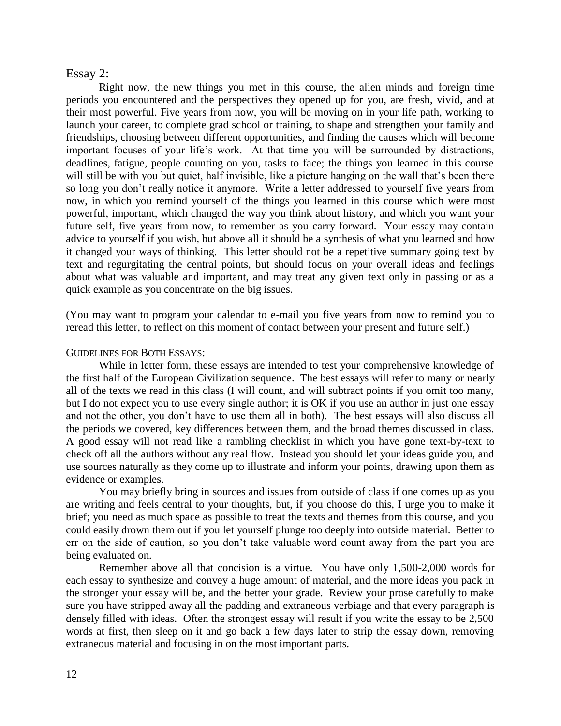#### Essay 2:

Right now, the new things you met in this course, the alien minds and foreign time periods you encountered and the perspectives they opened up for you, are fresh, vivid, and at their most powerful. Five years from now, you will be moving on in your life path, working to launch your career, to complete grad school or training, to shape and strengthen your family and friendships, choosing between different opportunities, and finding the causes which will become important focuses of your life's work. At that time you will be surrounded by distractions, deadlines, fatigue, people counting on you, tasks to face; the things you learned in this course will still be with you but quiet, half invisible, like a picture hanging on the wall that's been there so long you don't really notice it anymore. Write a letter addressed to yourself five years from now, in which you remind yourself of the things you learned in this course which were most powerful, important, which changed the way you think about history, and which you want your future self, five years from now, to remember as you carry forward. Your essay may contain advice to yourself if you wish, but above all it should be a synthesis of what you learned and how it changed your ways of thinking. This letter should not be a repetitive summary going text by text and regurgitating the central points, but should focus on your overall ideas and feelings about what was valuable and important, and may treat any given text only in passing or as a quick example as you concentrate on the big issues.

(You may want to program your calendar to e-mail you five years from now to remind you to reread this letter, to reflect on this moment of contact between your present and future self.)

#### GUIDELINES FOR BOTH ESSAYS:

While in letter form, these essays are intended to test your comprehensive knowledge of the first half of the European Civilization sequence. The best essays will refer to many or nearly all of the texts we read in this class (I will count, and will subtract points if you omit too many, but I do not expect you to use every single author; it is OK if you use an author in just one essay and not the other, you don't have to use them all in both). The best essays will also discuss all the periods we covered, key differences between them, and the broad themes discussed in class. A good essay will not read like a rambling checklist in which you have gone text-by-text to check off all the authors without any real flow. Instead you should let your ideas guide you, and use sources naturally as they come up to illustrate and inform your points, drawing upon them as evidence or examples.

You may briefly bring in sources and issues from outside of class if one comes up as you are writing and feels central to your thoughts, but, if you choose do this, I urge you to make it brief; you need as much space as possible to treat the texts and themes from this course, and you could easily drown them out if you let yourself plunge too deeply into outside material. Better to err on the side of caution, so you don't take valuable word count away from the part you are being evaluated on.

Remember above all that concision is a virtue. You have only 1,500-2,000 words for each essay to synthesize and convey a huge amount of material, and the more ideas you pack in the stronger your essay will be, and the better your grade. Review your prose carefully to make sure you have stripped away all the padding and extraneous verbiage and that every paragraph is densely filled with ideas. Often the strongest essay will result if you write the essay to be 2,500 words at first, then sleep on it and go back a few days later to strip the essay down, removing extraneous material and focusing in on the most important parts.